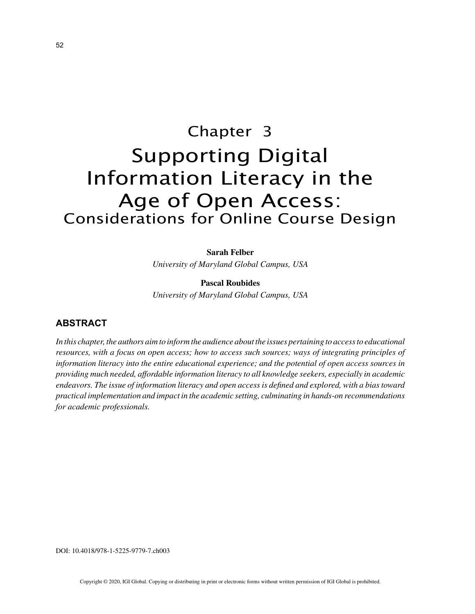# Chapter 3 Supporting Digital Information Literacy in the Age of Open Access: Considerations for Online Course Design

## **Sarah Felber**

*University of Maryland Global Campus, USA*

**Pascal Roubides** *University of Maryland Global Campus, USA*

# **ABSTRACT**

In this chapter, the authors aim to inform the audience about the issues pertaining to access to educational *resources, with a focus on open access; how to access such sources; ways of integrating principles of information literacy into the entire educational experience; and the potential of open access sources in providing much needed, affordable information literacy to all knowledge seekers, especially in academic endeavors. The issue of information literacy and open access is defined and explored, with a bias toward practical implementation and impact in the academic setting, culminating in hands-on recommendations for academic professionals.*

DOI: 10.4018/978-1-5225-9779-7.ch003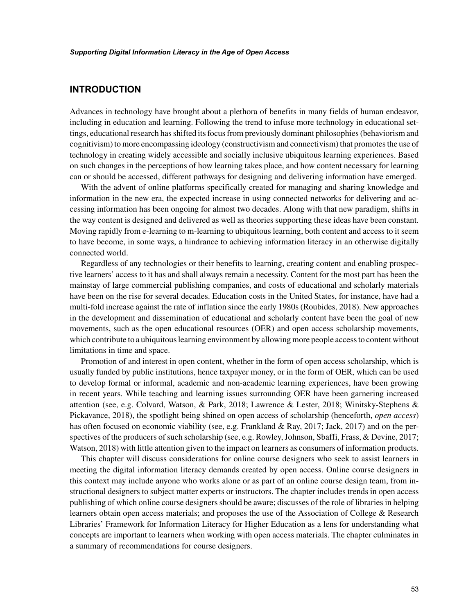# **INTRODUCTION**

Advances in technology have brought about a plethora of benefits in many fields of human endeavor, including in education and learning. Following the trend to infuse more technology in educational settings, educational research has shifted its focus from previously dominant philosophies (behaviorism and cognitivism) to more encompassing ideology (constructivism and connectivism) that promotes the use of technology in creating widely accessible and socially inclusive ubiquitous learning experiences. Based on such changes in the perceptions of how learning takes place, and how content necessary for learning can or should be accessed, different pathways for designing and delivering information have emerged.

With the advent of online platforms specifically created for managing and sharing knowledge and information in the new era, the expected increase in using connected networks for delivering and accessing information has been ongoing for almost two decades. Along with that new paradigm, shifts in the way content is designed and delivered as well as theories supporting these ideas have been constant. Moving rapidly from e-learning to m-learning to ubiquitous learning, both content and access to it seem to have become, in some ways, a hindrance to achieving information literacy in an otherwise digitally connected world.

Regardless of any technologies or their benefits to learning, creating content and enabling prospective learners' access to it has and shall always remain a necessity. Content for the most part has been the mainstay of large commercial publishing companies, and costs of educational and scholarly materials have been on the rise for several decades. Education costs in the United States, for instance, have had a multi-fold increase against the rate of inflation since the early 1980s (Roubides, 2018). New approaches in the development and dissemination of educational and scholarly content have been the goal of new movements, such as the open educational resources (OER) and open access scholarship movements, which contribute to a ubiquitous learning environment by allowing more people access to content without limitations in time and space.

Promotion of and interest in open content, whether in the form of open access scholarship, which is usually funded by public institutions, hence taxpayer money, or in the form of OER, which can be used to develop formal or informal, academic and non-academic learning experiences, have been growing in recent years. While teaching and learning issues surrounding OER have been garnering increased attention (see, e.g. Colvard, Watson, & Park, 2018; Lawrence & Lester, 2018; Winitsky-Stephens & Pickavance, 2018), the spotlight being shined on open access of scholarship (henceforth, *open access*) has often focused on economic viability (see, e.g. Frankland & Ray, 2017; Jack, 2017) and on the perspectives of the producers of such scholarship (see, e.g. Rowley, Johnson, Sbaffi, Frass, & Devine, 2017; Watson, 2018) with little attention given to the impact on learners as consumers of information products.

This chapter will discuss considerations for online course designers who seek to assist learners in meeting the digital information literacy demands created by open access. Online course designers in this context may include anyone who works alone or as part of an online course design team, from instructional designers to subject matter experts or instructors. The chapter includes trends in open access publishing of which online course designers should be aware; discusses of the role of libraries in helping learners obtain open access materials; and proposes the use of the Association of College & Research Libraries' Framework for Information Literacy for Higher Education as a lens for understanding what concepts are important to learners when working with open access materials. The chapter culminates in a summary of recommendations for course designers.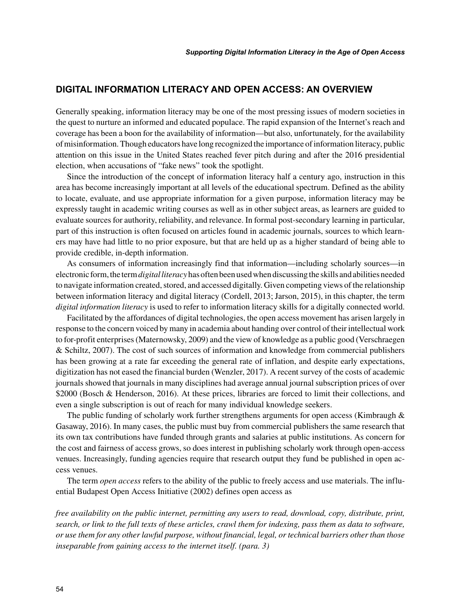# **DIGITAL INFORMATION LITERACY AND OPEN ACCESS: AN OVERVIEW**

Generally speaking, information literacy may be one of the most pressing issues of modern societies in the quest to nurture an informed and educated populace. The rapid expansion of the Internet's reach and coverage has been a boon for the availability of information—but also, unfortunately, for the availability of misinformation. Though educators have long recognized the importance of information literacy, public attention on this issue in the United States reached fever pitch during and after the 2016 presidential election, when accusations of "fake news" took the spotlight.

Since the introduction of the concept of information literacy half a century ago, instruction in this area has become increasingly important at all levels of the educational spectrum. Defined as the ability to locate, evaluate, and use appropriate information for a given purpose, information literacy may be expressly taught in academic writing courses as well as in other subject areas, as learners are guided to evaluate sources for authority, reliability, and relevance. In formal post-secondary learning in particular, part of this instruction is often focused on articles found in academic journals, sources to which learners may have had little to no prior exposure, but that are held up as a higher standard of being able to provide credible, in-depth information.

As consumers of information increasingly find that information—including scholarly sources—in electronic form, the term *digital literacy* has often been used when discussing the skills and abilities needed to navigate information created, stored, and accessed digitally. Given competing views of the relationship between information literacy and digital literacy (Cordell, 2013; Jarson, 2015), in this chapter, the term *digital information literacy* is used to refer to information literacy skills for a digitally connected world.

Facilitated by the affordances of digital technologies, the open access movement has arisen largely in response to the concern voiced by many in academia about handing over control of their intellectual work to for-profit enterprises (Maternowsky, 2009) and the view of knowledge as a public good (Verschraegen & Schiltz, 2007). The cost of such sources of information and knowledge from commercial publishers has been growing at a rate far exceeding the general rate of inflation, and despite early expectations, digitization has not eased the financial burden (Wenzler, 2017). A recent survey of the costs of academic journals showed that journals in many disciplines had average annual journal subscription prices of over \$2000 (Bosch & Henderson, 2016). At these prices, libraries are forced to limit their collections, and even a single subscription is out of reach for many individual knowledge seekers.

The public funding of scholarly work further strengthens arguments for open access (Kimbraugh  $\&$ Gasaway, 2016). In many cases, the public must buy from commercial publishers the same research that its own tax contributions have funded through grants and salaries at public institutions. As concern for the cost and fairness of access grows, so does interest in publishing scholarly work through open-access venues. Increasingly, funding agencies require that research output they fund be published in open access venues.

The term *open access* refers to the ability of the public to freely access and use materials. The influential Budapest Open Access Initiative (2002) defines open access as

*free availability on the public internet, permitting any users to read, download, copy, distribute, print, search, or link to the full texts of these articles, crawl them for indexing, pass them as data to software, or use them for any other lawful purpose, without financial, legal, or technical barriers other than those inseparable from gaining access to the internet itself. (para. 3)*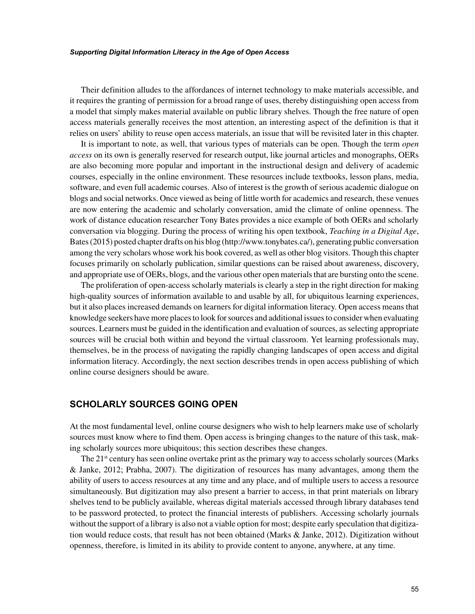Their definition alludes to the affordances of internet technology to make materials accessible, and it requires the granting of permission for a broad range of uses, thereby distinguishing open access from a model that simply makes material available on public library shelves. Though the free nature of open access materials generally receives the most attention, an interesting aspect of the definition is that it relies on users' ability to reuse open access materials, an issue that will be revisited later in this chapter.

It is important to note, as well, that various types of materials can be open. Though the term *open access* on its own is generally reserved for research output, like journal articles and monographs, OERs are also becoming more popular and important in the instructional design and delivery of academic courses, especially in the online environment. These resources include textbooks, lesson plans, media, software, and even full academic courses. Also of interest is the growth of serious academic dialogue on blogs and social networks. Once viewed as being of little worth for academics and research, these venues are now entering the academic and scholarly conversation, amid the climate of online openness. The work of distance education researcher Tony Bates provides a nice example of both OERs and scholarly conversation via blogging. During the process of writing his open textbook, *Teaching in a Digital Age*, Bates (2015) posted chapter drafts on his blog (http://www.tonybates.ca/), generating public conversation among the very scholars whose work his book covered, as well as other blog visitors. Though this chapter focuses primarily on scholarly publication, similar questions can be raised about awareness, discovery, and appropriate use of OERs, blogs, and the various other open materials that are bursting onto the scene.

The proliferation of open-access scholarly materials is clearly a step in the right direction for making high-quality sources of information available to and usable by all, for ubiquitous learning experiences, but it also places increased demands on learners for digital information literacy. Open access means that knowledge seekers have more places to look for sources and additional issues to consider when evaluating sources. Learners must be guided in the identification and evaluation of sources, as selecting appropriate sources will be crucial both within and beyond the virtual classroom. Yet learning professionals may, themselves, be in the process of navigating the rapidly changing landscapes of open access and digital information literacy. Accordingly, the next section describes trends in open access publishing of which online course designers should be aware.

## **SCHOLARLY SOURCES GOING OPEN**

At the most fundamental level, online course designers who wish to help learners make use of scholarly sources must know where to find them. Open access is bringing changes to the nature of this task, making scholarly sources more ubiquitous; this section describes these changes.

The  $21<sup>st</sup>$  century has seen online overtake print as the primary way to access scholarly sources (Marks & Janke, 2012; Prabha, 2007). The digitization of resources has many advantages, among them the ability of users to access resources at any time and any place, and of multiple users to access a resource simultaneously. But digitization may also present a barrier to access, in that print materials on library shelves tend to be publicly available, whereas digital materials accessed through library databases tend to be password protected, to protect the financial interests of publishers. Accessing scholarly journals without the support of a library is also not a viable option for most; despite early speculation that digitization would reduce costs, that result has not been obtained (Marks & Janke, 2012). Digitization without openness, therefore, is limited in its ability to provide content to anyone, anywhere, at any time.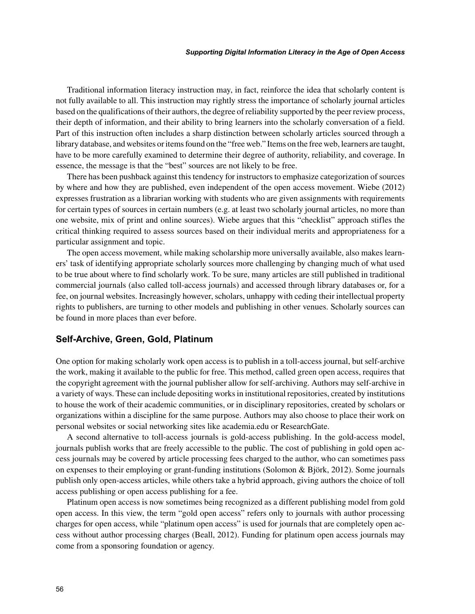Traditional information literacy instruction may, in fact, reinforce the idea that scholarly content is not fully available to all. This instruction may rightly stress the importance of scholarly journal articles based on the qualifications of their authors, the degree of reliability supported by the peer review process, their depth of information, and their ability to bring learners into the scholarly conversation of a field. Part of this instruction often includes a sharp distinction between scholarly articles sourced through a library database, and websites or items found on the "free web." Items on the free web, learners are taught, have to be more carefully examined to determine their degree of authority, reliability, and coverage. In essence, the message is that the "best" sources are not likely to be free.

There has been pushback against this tendency for instructors to emphasize categorization of sources by where and how they are published, even independent of the open access movement. Wiebe (2012) expresses frustration as a librarian working with students who are given assignments with requirements for certain types of sources in certain numbers (e.g. at least two scholarly journal articles, no more than one website, mix of print and online sources). Wiebe argues that this "checklist" approach stifles the critical thinking required to assess sources based on their individual merits and appropriateness for a particular assignment and topic.

The open access movement, while making scholarship more universally available, also makes learners' task of identifying appropriate scholarly sources more challenging by changing much of what used to be true about where to find scholarly work. To be sure, many articles are still published in traditional commercial journals (also called toll-access journals) and accessed through library databases or, for a fee, on journal websites. Increasingly however, scholars, unhappy with ceding their intellectual property rights to publishers, are turning to other models and publishing in other venues. Scholarly sources can be found in more places than ever before.

#### **Self-Archive, Green, Gold, Platinum**

One option for making scholarly work open access is to publish in a toll-access journal, but self-archive the work, making it available to the public for free. This method, called green open access, requires that the copyright agreement with the journal publisher allow for self-archiving. Authors may self-archive in a variety of ways. These can include depositing works in institutional repositories, created by institutions to house the work of their academic communities, or in disciplinary repositories, created by scholars or organizations within a discipline for the same purpose. Authors may also choose to place their work on personal websites or social networking sites like academia.edu or ResearchGate.

A second alternative to toll-access journals is gold-access publishing. In the gold-access model, journals publish works that are freely accessible to the public. The cost of publishing in gold open access journals may be covered by article processing fees charged to the author, who can sometimes pass on expenses to their employing or grant-funding institutions (Solomon & Björk, 2012). Some journals publish only open-access articles, while others take a hybrid approach, giving authors the choice of toll access publishing or open access publishing for a fee.

Platinum open access is now sometimes being recognized as a different publishing model from gold open access. In this view, the term "gold open access" refers only to journals with author processing charges for open access, while "platinum open access" is used for journals that are completely open access without author processing charges (Beall, 2012). Funding for platinum open access journals may come from a sponsoring foundation or agency.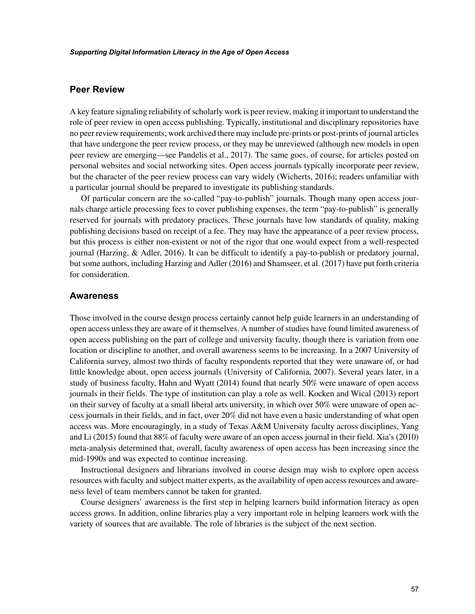## **Peer Review**

A key feature signaling reliability of scholarly work is peer review, making it important to understand the role of peer review in open access publishing. Typically, institutional and disciplinary repositories have no peer review requirements; work archived there may include pre-prints or post-prints of journal articles that have undergone the peer review process, or they may be unreviewed (although new models in open peer review are emerging—see Pandelis et al., 2017). The same goes, of course, for articles posted on personal websites and social networking sites. Open access journals typically incorporate peer review, but the character of the peer review process can vary widely (Wicherts, 2016); readers unfamiliar with a particular journal should be prepared to investigate its publishing standards.

Of particular concern are the so-called "pay-to-publish" journals. Though many open access journals charge article processing fees to cover publishing expenses, the term "pay-to-publish" is generally reserved for journals with predatory practices. These journals have low standards of quality, making publishing decisions based on receipt of a fee. They may have the appearance of a peer review process, but this process is either non-existent or not of the rigor that one would expect from a well-respected journal (Harzing, & Adler, 2016). It can be difficult to identify a pay-to-publish or predatory journal, but some authors, including Harzing and Adler (2016) and Shamseer, et al. (2017) have put forth criteria for consideration.

## **Awareness**

Those involved in the course design process certainly cannot help guide learners in an understanding of open access unless they are aware of it themselves. A number of studies have found limited awareness of open access publishing on the part of college and university faculty, though there is variation from one location or discipline to another, and overall awareness seems to be increasing. In a 2007 University of California survey, almost two thirds of faculty respondents reported that they were unaware of, or had little knowledge about, open access journals (University of California, 2007). Several years later, in a study of business faculty, Hahn and Wyatt (2014) found that nearly 50% were unaware of open access journals in their fields. The type of institution can play a role as well. Kocken and Wical (2013) report on their survey of faculty at a small liberal arts university, in which over 50% were unaware of open access journals in their fields, and in fact, over 20% did not have even a basic understanding of what open access was. More encouragingly, in a study of Texas A&M University faculty across disciplines, Yang and Li (2015) found that 88% of faculty were aware of an open access journal in their field. Xia's (2010) meta-analysis determined that, overall, faculty awareness of open access has been increasing since the mid-1990s and was expected to continue increasing.

Instructional designers and librarians involved in course design may wish to explore open access resources with faculty and subject matter experts, as the availability of open access resources and awareness level of team members cannot be taken for granted.

Course designers' awareness is the first step in helping learners build information literacy as open access grows. In addition, online libraries play a very important role in helping learners work with the variety of sources that are available. The role of libraries is the subject of the next section.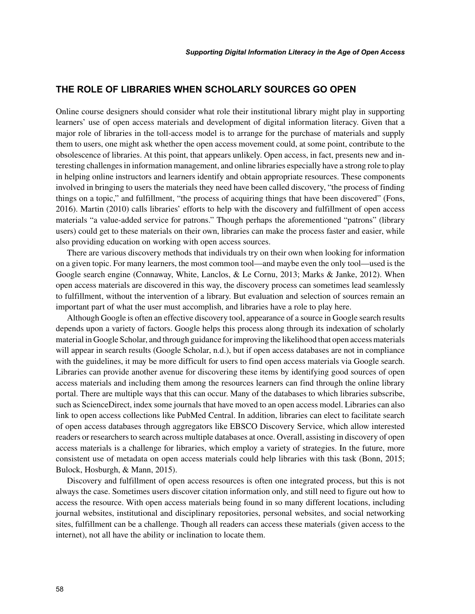# **THE ROLE OF LIBRARIES WHEN SCHOLARLY SOURCES GO OPEN**

Online course designers should consider what role their institutional library might play in supporting learners' use of open access materials and development of digital information literacy. Given that a major role of libraries in the toll-access model is to arrange for the purchase of materials and supply them to users, one might ask whether the open access movement could, at some point, contribute to the obsolescence of libraries. At this point, that appears unlikely. Open access, in fact, presents new and interesting challenges in information management, and online libraries especially have a strong role to play in helping online instructors and learners identify and obtain appropriate resources. These components involved in bringing to users the materials they need have been called discovery, "the process of finding things on a topic," and fulfillment, "the process of acquiring things that have been discovered" (Fons, 2016). Martin (2010) calls libraries' efforts to help with the discovery and fulfillment of open access materials "a value-added service for patrons." Though perhaps the aforementioned "patrons" (library users) could get to these materials on their own, libraries can make the process faster and easier, while also providing education on working with open access sources.

There are various discovery methods that individuals try on their own when looking for information on a given topic. For many learners, the most common tool—and maybe even the only tool—used is the Google search engine (Connaway, White, Lanclos, & Le Cornu, 2013; Marks & Janke, 2012). When open access materials are discovered in this way, the discovery process can sometimes lead seamlessly to fulfillment, without the intervention of a library. But evaluation and selection of sources remain an important part of what the user must accomplish, and libraries have a role to play here.

Although Google is often an effective discovery tool, appearance of a source in Google search results depends upon a variety of factors. Google helps this process along through its indexation of scholarly material in Google Scholar, and through guidance for improving the likelihood that open access materials will appear in search results (Google Scholar, n.d.), but if open access databases are not in compliance with the guidelines, it may be more difficult for users to find open access materials via Google search. Libraries can provide another avenue for discovering these items by identifying good sources of open access materials and including them among the resources learners can find through the online library portal. There are multiple ways that this can occur. Many of the databases to which libraries subscribe, such as ScienceDirect, index some journals that have moved to an open access model. Libraries can also link to open access collections like PubMed Central. In addition, libraries can elect to facilitate search of open access databases through aggregators like EBSCO Discovery Service, which allow interested readers or researchers to search across multiple databases at once. Overall, assisting in discovery of open access materials is a challenge for libraries, which employ a variety of strategies. In the future, more consistent use of metadata on open access materials could help libraries with this task (Bonn, 2015; Bulock, Hosburgh, & Mann, 2015).

Discovery and fulfillment of open access resources is often one integrated process, but this is not always the case. Sometimes users discover citation information only, and still need to figure out how to access the resource. With open access materials being found in so many different locations, including journal websites, institutional and disciplinary repositories, personal websites, and social networking sites, fulfillment can be a challenge. Though all readers can access these materials (given access to the internet), not all have the ability or inclination to locate them.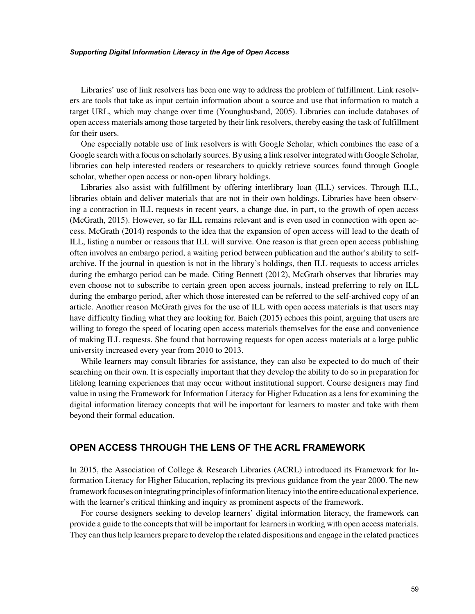Libraries' use of link resolvers has been one way to address the problem of fulfillment. Link resolvers are tools that take as input certain information about a source and use that information to match a target URL, which may change over time (Younghusband, 2005). Libraries can include databases of open access materials among those targeted by their link resolvers, thereby easing the task of fulfillment for their users.

One especially notable use of link resolvers is with Google Scholar, which combines the ease of a Google search with a focus on scholarly sources. By using a link resolver integrated with Google Scholar, libraries can help interested readers or researchers to quickly retrieve sources found through Google scholar, whether open access or non-open library holdings.

Libraries also assist with fulfillment by offering interlibrary loan (ILL) services. Through ILL, libraries obtain and deliver materials that are not in their own holdings. Libraries have been observing a contraction in ILL requests in recent years, a change due, in part, to the growth of open access (McGrath, 2015). However, so far ILL remains relevant and is even used in connection with open access. McGrath (2014) responds to the idea that the expansion of open access will lead to the death of ILL, listing a number or reasons that ILL will survive. One reason is that green open access publishing often involves an embargo period, a waiting period between publication and the author's ability to selfarchive. If the journal in question is not in the library's holdings, then ILL requests to access articles during the embargo period can be made. Citing Bennett (2012), McGrath observes that libraries may even choose not to subscribe to certain green open access journals, instead preferring to rely on ILL during the embargo period, after which those interested can be referred to the self-archived copy of an article. Another reason McGrath gives for the use of ILL with open access materials is that users may have difficulty finding what they are looking for. Baich (2015) echoes this point, arguing that users are willing to forego the speed of locating open access materials themselves for the ease and convenience of making ILL requests. She found that borrowing requests for open access materials at a large public university increased every year from 2010 to 2013.

While learners may consult libraries for assistance, they can also be expected to do much of their searching on their own. It is especially important that they develop the ability to do so in preparation for lifelong learning experiences that may occur without institutional support. Course designers may find value in using the Framework for Information Literacy for Higher Education as a lens for examining the digital information literacy concepts that will be important for learners to master and take with them beyond their formal education.

# **OPEN ACCESS THROUGH THE LENS OF THE ACRL FRAMEWORK**

In 2015, the Association of College & Research Libraries (ACRL) introduced its Framework for Information Literacy for Higher Education, replacing its previous guidance from the year 2000. The new framework focuses on integrating principles of information literacy into the entire educational experience, with the learner's critical thinking and inquiry as prominent aspects of the framework.

For course designers seeking to develop learners' digital information literacy, the framework can provide a guide to the concepts that will be important for learners in working with open access materials. They can thus help learners prepare to develop the related dispositions and engage in the related practices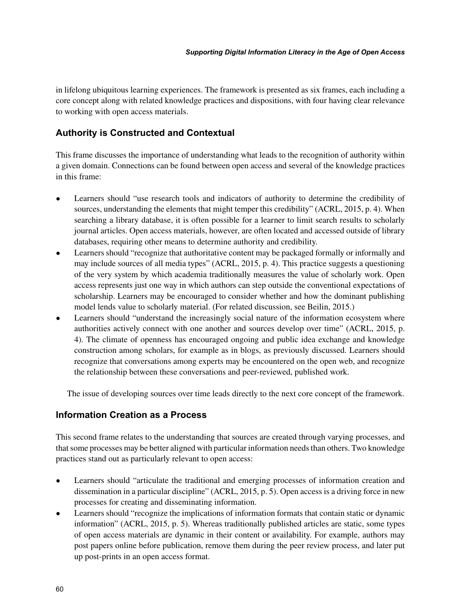in lifelong ubiquitous learning experiences. The framework is presented as six frames, each including a core concept along with related knowledge practices and dispositions, with four having clear relevance to working with open access materials.

# **Authority is Constructed and Contextual**

This frame discusses the importance of understanding what leads to the recognition of authority within a given domain. Connections can be found between open access and several of the knowledge practices in this frame:

- Learners should "use research tools and indicators of authority to determine the credibility of sources, understanding the elements that might temper this credibility" (ACRL, 2015, p. 4). When searching a library database, it is often possible for a learner to limit search results to scholarly journal articles. Open access materials, however, are often located and accessed outside of library databases, requiring other means to determine authority and credibility.
- Learners should "recognize that authoritative content may be packaged formally or informally and may include sources of all media types" (ACRL, 2015, p. 4). This practice suggests a questioning of the very system by which academia traditionally measures the value of scholarly work. Open access represents just one way in which authors can step outside the conventional expectations of scholarship. Learners may be encouraged to consider whether and how the dominant publishing model lends value to scholarly material. (For related discussion, see Beilin, 2015.)
- Learners should "understand the increasingly social nature of the information ecosystem where authorities actively connect with one another and sources develop over time" (ACRL, 2015, p. 4). The climate of openness has encouraged ongoing and public idea exchange and knowledge construction among scholars, for example as in blogs, as previously discussed. Learners should recognize that conversations among experts may be encountered on the open web, and recognize the relationship between these conversations and peer-reviewed, published work.

The issue of developing sources over time leads directly to the next core concept of the framework.

# **Information Creation as a Process**

This second frame relates to the understanding that sources are created through varying processes, and that some processes may be better aligned with particular information needs than others. Two knowledge practices stand out as particularly relevant to open access:

- Learners should "articulate the traditional and emerging processes of information creation and dissemination in a particular discipline" (ACRL, 2015, p. 5). Open access is a driving force in new processes for creating and disseminating information.
- Learners should "recognize the implications of information formats that contain static or dynamic information" (ACRL, 2015, p. 5). Whereas traditionally published articles are static, some types of open access materials are dynamic in their content or availability. For example, authors may post papers online before publication, remove them during the peer review process, and later put up post-prints in an open access format.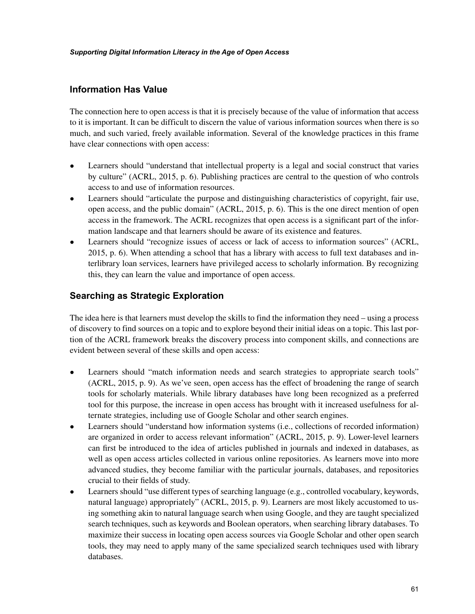# **Information Has Value**

The connection here to open access is that it is precisely because of the value of information that access to it is important. It can be difficult to discern the value of various information sources when there is so much, and such varied, freely available information. Several of the knowledge practices in this frame have clear connections with open access:

- Learners should "understand that intellectual property is a legal and social construct that varies by culture" (ACRL, 2015, p. 6). Publishing practices are central to the question of who controls access to and use of information resources.
- Learners should "articulate the purpose and distinguishing characteristics of copyright, fair use, open access, and the public domain" (ACRL, 2015, p. 6). This is the one direct mention of open access in the framework. The ACRL recognizes that open access is a significant part of the information landscape and that learners should be aware of its existence and features.
- Learners should "recognize issues of access or lack of access to information sources" (ACRL, 2015, p. 6). When attending a school that has a library with access to full text databases and interlibrary loan services, learners have privileged access to scholarly information. By recognizing this, they can learn the value and importance of open access.

# **Searching as Strategic Exploration**

The idea here is that learners must develop the skills to find the information they need – using a process of discovery to find sources on a topic and to explore beyond their initial ideas on a topic. This last portion of the ACRL framework breaks the discovery process into component skills, and connections are evident between several of these skills and open access:

- Learners should "match information needs and search strategies to appropriate search tools" (ACRL, 2015, p. 9). As we've seen, open access has the effect of broadening the range of search tools for scholarly materials. While library databases have long been recognized as a preferred tool for this purpose, the increase in open access has brought with it increased usefulness for alternate strategies, including use of Google Scholar and other search engines.
- Learners should "understand how information systems (i.e., collections of recorded information) are organized in order to access relevant information" (ACRL, 2015, p. 9). Lower-level learners can first be introduced to the idea of articles published in journals and indexed in databases, as well as open access articles collected in various online repositories. As learners move into more advanced studies, they become familiar with the particular journals, databases, and repositories crucial to their fields of study.
- Learners should "use different types of searching language (e.g., controlled vocabulary, keywords, natural language) appropriately" (ACRL, 2015, p. 9). Learners are most likely accustomed to using something akin to natural language search when using Google, and they are taught specialized search techniques, such as keywords and Boolean operators, when searching library databases. To maximize their success in locating open access sources via Google Scholar and other open search tools, they may need to apply many of the same specialized search techniques used with library databases.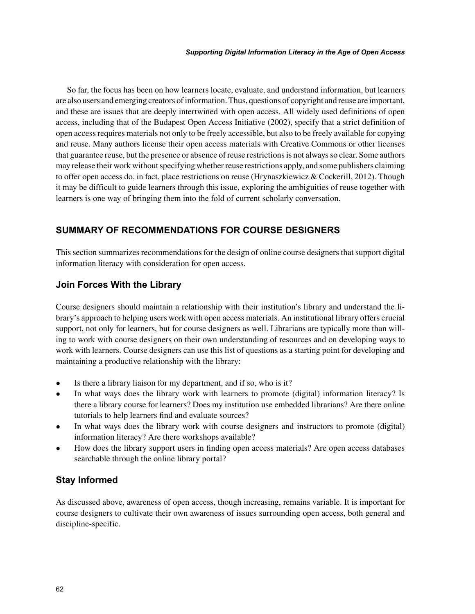So far, the focus has been on how learners locate, evaluate, and understand information, but learners are also users and emerging creators of information. Thus, questions of copyright and reuse are important, and these are issues that are deeply intertwined with open access. All widely used definitions of open access, including that of the Budapest Open Access Initiative (2002), specify that a strict definition of open access requires materials not only to be freely accessible, but also to be freely available for copying and reuse. Many authors license their open access materials with Creative Commons or other licenses that guarantee reuse, but the presence or absence of reuse restrictions is not always so clear. Some authors may release their work without specifying whether reuse restrictions apply, and some publishers claiming to offer open access do, in fact, place restrictions on reuse (Hrynaszkiewicz & Cockerill, 2012). Though it may be difficult to guide learners through this issue, exploring the ambiguities of reuse together with learners is one way of bringing them into the fold of current scholarly conversation.

# **SUMMARY OF RECOMMENDATIONS FOR COURSE DESIGNERS**

This section summarizes recommendations for the design of online course designers that support digital information literacy with consideration for open access.

# **Join Forces With the Library**

Course designers should maintain a relationship with their institution's library and understand the library's approach to helping users work with open access materials. An institutional library offers crucial support, not only for learners, but for course designers as well. Librarians are typically more than willing to work with course designers on their own understanding of resources and on developing ways to work with learners. Course designers can use this list of questions as a starting point for developing and maintaining a productive relationship with the library:

- Is there a library liaison for my department, and if so, who is it?
- In what ways does the library work with learners to promote (digital) information literacy? Is there a library course for learners? Does my institution use embedded librarians? Are there online tutorials to help learners find and evaluate sources?
- In what ways does the library work with course designers and instructors to promote (digital) information literacy? Are there workshops available?
- How does the library support users in finding open access materials? Are open access databases searchable through the online library portal?

# **Stay Informed**

As discussed above, awareness of open access, though increasing, remains variable. It is important for course designers to cultivate their own awareness of issues surrounding open access, both general and discipline-specific.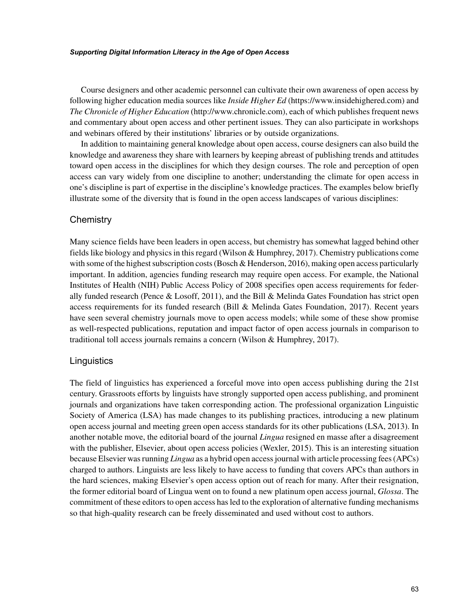Course designers and other academic personnel can cultivate their own awareness of open access by following higher education media sources like *Inside Higher Ed* (https://www.insidehighered.com) and *The Chronicle of Higher Education* (http://www.chronicle.com), each of which publishes frequent news and commentary about open access and other pertinent issues. They can also participate in workshops and webinars offered by their institutions' libraries or by outside organizations.

In addition to maintaining general knowledge about open access, course designers can also build the knowledge and awareness they share with learners by keeping abreast of publishing trends and attitudes toward open access in the disciplines for which they design courses. The role and perception of open access can vary widely from one discipline to another; understanding the climate for open access in one's discipline is part of expertise in the discipline's knowledge practices. The examples below briefly illustrate some of the diversity that is found in the open access landscapes of various disciplines:

## **Chemistry**

Many science fields have been leaders in open access, but chemistry has somewhat lagged behind other fields like biology and physics in this regard (Wilson & Humphrey, 2017). Chemistry publications come with some of the highest subscription costs (Bosch & Henderson, 2016), making open access particularly important. In addition, agencies funding research may require open access. For example, the National Institutes of Health (NIH) Public Access Policy of 2008 specifies open access requirements for federally funded research (Pence & Losoff, 2011), and the Bill & Melinda Gates Foundation has strict open access requirements for its funded research (Bill & Melinda Gates Foundation, 2017). Recent years have seen several chemistry journals move to open access models; while some of these show promise as well-respected publications, reputation and impact factor of open access journals in comparison to traditional toll access journals remains a concern (Wilson & Humphrey, 2017).

#### **Linguistics**

The field of linguistics has experienced a forceful move into open access publishing during the 21st century. Grassroots efforts by linguists have strongly supported open access publishing, and prominent journals and organizations have taken corresponding action. The professional organization Linguistic Society of America (LSA) has made changes to its publishing practices, introducing a new platinum open access journal and meeting green open access standards for its other publications (LSA, 2013). In another notable move, the editorial board of the journal *Lingua* resigned en masse after a disagreement with the publisher, Elsevier, about open access policies (Wexler, 2015). This is an interesting situation because Elsevier was running *Lingua* as a hybrid open access journal with article processing fees (APCs) charged to authors. Linguists are less likely to have access to funding that covers APCs than authors in the hard sciences, making Elsevier's open access option out of reach for many. After their resignation, the former editorial board of Lingua went on to found a new platinum open access journal, *Glossa*. The commitment of these editors to open access has led to the exploration of alternative funding mechanisms so that high-quality research can be freely disseminated and used without cost to authors.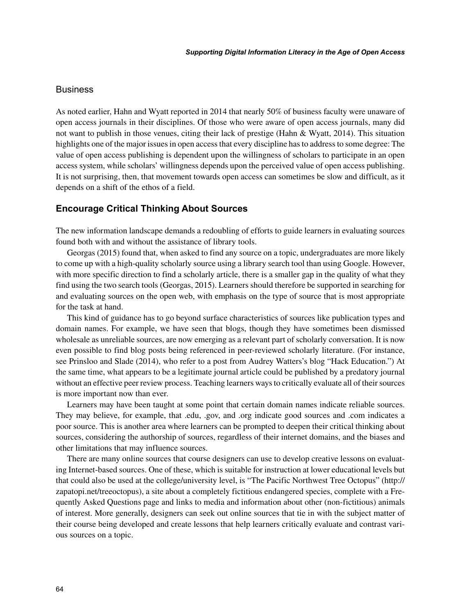## **Business**

As noted earlier, Hahn and Wyatt reported in 2014 that nearly 50% of business faculty were unaware of open access journals in their disciplines. Of those who were aware of open access journals, many did not want to publish in those venues, citing their lack of prestige (Hahn & Wyatt, 2014). This situation highlights one of the major issues in open access that every discipline has to address to some degree: The value of open access publishing is dependent upon the willingness of scholars to participate in an open access system, while scholars' willingness depends upon the perceived value of open access publishing. It is not surprising, then, that movement towards open access can sometimes be slow and difficult, as it depends on a shift of the ethos of a field.

## **Encourage Critical Thinking About Sources**

The new information landscape demands a redoubling of efforts to guide learners in evaluating sources found both with and without the assistance of library tools.

Georgas (2015) found that, when asked to find any source on a topic, undergraduates are more likely to come up with a high-quality scholarly source using a library search tool than using Google. However, with more specific direction to find a scholarly article, there is a smaller gap in the quality of what they find using the two search tools (Georgas, 2015). Learners should therefore be supported in searching for and evaluating sources on the open web, with emphasis on the type of source that is most appropriate for the task at hand.

This kind of guidance has to go beyond surface characteristics of sources like publication types and domain names. For example, we have seen that blogs, though they have sometimes been dismissed wholesale as unreliable sources, are now emerging as a relevant part of scholarly conversation. It is now even possible to find blog posts being referenced in peer-reviewed scholarly literature. (For instance, see Prinsloo and Slade (2014), who refer to a post from Audrey Watters's blog "Hack Education.") At the same time, what appears to be a legitimate journal article could be published by a predatory journal without an effective peer review process. Teaching learners ways to critically evaluate all of their sources is more important now than ever.

Learners may have been taught at some point that certain domain names indicate reliable sources. They may believe, for example, that .edu, .gov, and .org indicate good sources and .com indicates a poor source. This is another area where learners can be prompted to deepen their critical thinking about sources, considering the authorship of sources, regardless of their internet domains, and the biases and other limitations that may influence sources.

There are many online sources that course designers can use to develop creative lessons on evaluating Internet-based sources. One of these, which is suitable for instruction at lower educational levels but that could also be used at the college/university level, is "The Pacific Northwest Tree Octopus" (http:// zapatopi.net/treeoctopus), a site about a completely fictitious endangered species, complete with a Frequently Asked Questions page and links to media and information about other (non-fictitious) animals of interest. More generally, designers can seek out online sources that tie in with the subject matter of their course being developed and create lessons that help learners critically evaluate and contrast various sources on a topic.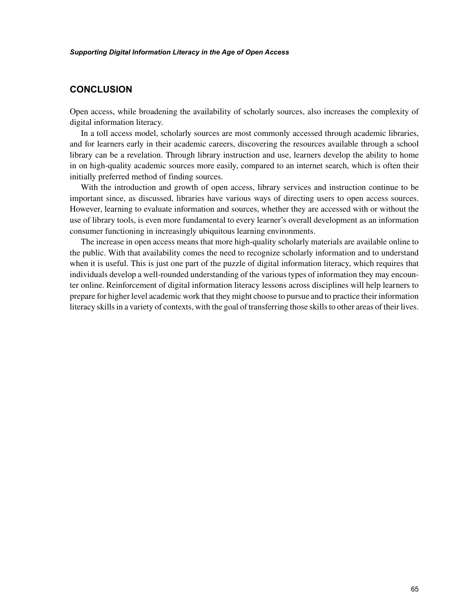# **CONCLUSION**

Open access, while broadening the availability of scholarly sources, also increases the complexity of digital information literacy.

In a toll access model, scholarly sources are most commonly accessed through academic libraries, and for learners early in their academic careers, discovering the resources available through a school library can be a revelation. Through library instruction and use, learners develop the ability to home in on high-quality academic sources more easily, compared to an internet search, which is often their initially preferred method of finding sources.

With the introduction and growth of open access, library services and instruction continue to be important since, as discussed, libraries have various ways of directing users to open access sources. However, learning to evaluate information and sources, whether they are accessed with or without the use of library tools, is even more fundamental to every learner's overall development as an information consumer functioning in increasingly ubiquitous learning environments.

The increase in open access means that more high-quality scholarly materials are available online to the public. With that availability comes the need to recognize scholarly information and to understand when it is useful. This is just one part of the puzzle of digital information literacy, which requires that individuals develop a well-rounded understanding of the various types of information they may encounter online. Reinforcement of digital information literacy lessons across disciplines will help learners to prepare for higher level academic work that they might choose to pursue and to practice their information literacy skills in a variety of contexts, with the goal of transferring those skills to other areas of their lives.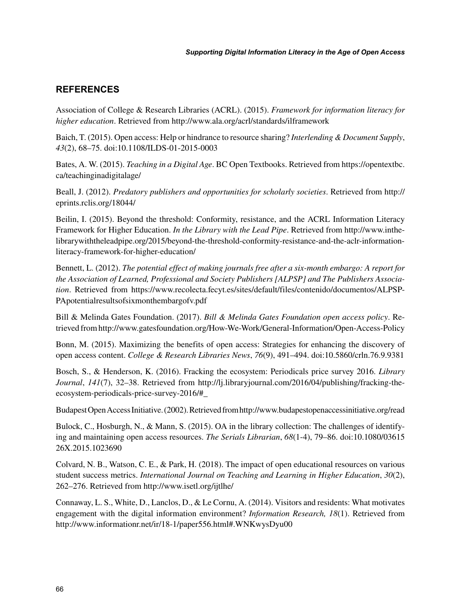# **REFERENCES**

Association of College & Research Libraries (ACRL). (2015). *Framework for information literacy for higher education*. Retrieved from http://www.ala.org/acrl/standards/ilframework

Baich, T. (2015). Open access: Help or hindrance to resource sharing? *Interlending & Document Supply*, *43*(2), 68–75. doi:10.1108/ILDS-01-2015-0003

Bates, A. W. (2015). *Teaching in a Digital Age*. BC Open Textbooks. Retrieved from https://opentextbc. ca/teachinginadigitalage/

Beall, J. (2012). *Predatory publishers and opportunities for scholarly societies*. Retrieved from http:// eprints.rclis.org/18044/

Beilin, I. (2015). Beyond the threshold: Conformity, resistance, and the ACRL Information Literacy Framework for Higher Education. *In the Library with the Lead Pipe*. Retrieved from http://www.inthelibrarywiththeleadpipe.org/2015/beyond-the-threshold-conformity-resistance-and-the-aclr-informationliteracy-framework-for-higher-education/

Bennett, L. (2012). *The potential effect of making journals free after a six-month embargo: A report for the Association of Learned, Professional and Society Publishers [ALPSP] and The Publishers Association*. Retrieved from https://www.recolecta.fecyt.es/sites/default/files/contenido/documentos/ALPSP-PApotentialresultsofsixmonthembargofv.pdf

Bill & Melinda Gates Foundation. (2017). *Bill & Melinda Gates Foundation open access policy*. Retrieved from http://www.gatesfoundation.org/How-We-Work/General-Information/Open-Access-Policy

Bonn, M. (2015). Maximizing the benefits of open access: Strategies for enhancing the discovery of open access content. *College & Research Libraries News*, *76*(9), 491–494. doi:10.5860/crln.76.9.9381

Bosch, S., & Henderson, K. (2016). Fracking the ecosystem: Periodicals price survey 2016. *Library Journal*, *141*(7), 32–38. Retrieved from http://lj.libraryjournal.com/2016/04/publishing/fracking-theecosystem-periodicals-price-survey-2016/#\_

Budapest Open Access Initiative. (2002). Retrieved from http://www.budapestopenaccessinitiative.org/read

Bulock, C., Hosburgh, N., & Mann, S. (2015). OA in the library collection: The challenges of identifying and maintaining open access resources. *The Serials Librarian*, *68*(1-4), 79–86. doi:10.1080/03615 26X.2015.1023690

Colvard, N. B., Watson, C. E., & Park, H. (2018). The impact of open educational resources on various student success metrics. *International Journal on Teaching and Learning in Higher Education*, *30*(2), 262–276. Retrieved from http://www.isetl.org/ijtlhe/

Connaway, L. S., White, D., Lanclos, D., & Le Cornu, A. (2014). Visitors and residents: What motivates engagement with the digital information environment? *Information Research, 18*(1). Retrieved from http://www.informationr.net/ir/18-1/paper556.html#.WNKwysDyu00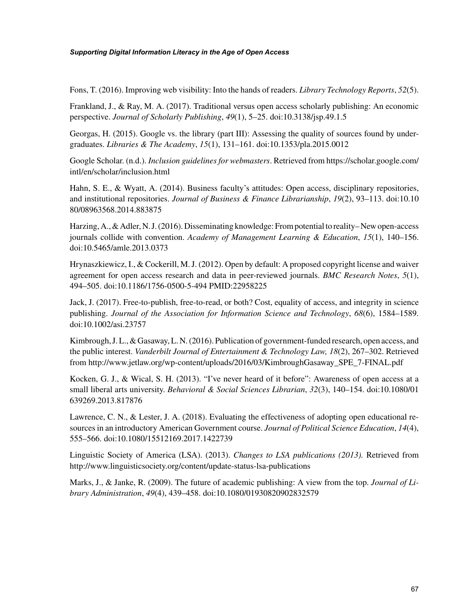Fons, T. (2016). Improving web visibility: Into the hands of readers. *Library Technology Reports*, *52*(5).

Frankland, J., & Ray, M. A. (2017). Traditional versus open access scholarly publishing: An economic perspective. *Journal of Scholarly Publishing*, *49*(1), 5–25. doi:10.3138/jsp.49.1.5

Georgas, H. (2015). Google vs. the library (part III): Assessing the quality of sources found by undergraduates. *Libraries & The Academy*, *15*(1), 131–161. doi:10.1353/pla.2015.0012

Google Scholar. (n.d.). *Inclusion guidelines for webmasters*. Retrieved from https://scholar.google.com/ intl/en/scholar/inclusion.html

Hahn, S. E., & Wyatt, A. (2014). Business faculty's attitudes: Open access, disciplinary repositories, and institutional repositories. *Journal of Business & Finance Librarianship*, *19*(2), 93–113. doi:10.10 80/08963568.2014.883875

Harzing, A., & Adler, N. J. (2016). Disseminating knowledge: From potential to reality– New open-access journals collide with convention. *Academy of Management Learning & Education*, *15*(1), 140–156. doi:10.5465/amle.2013.0373

Hrynaszkiewicz, I., & Cockerill, M. J. (2012). Open by default: A proposed copyright license and waiver agreement for open access research and data in peer-reviewed journals. *BMC Research Notes*, *5*(1), 494–505. doi:10.1186/1756-0500-5-494 PMID:22958225

Jack, J. (2017). Free-to-publish, free-to-read, or both? Cost, equality of access, and integrity in science publishing. *Journal of the Association for Information Science and Technology*, *68*(6), 1584–1589. doi:10.1002/asi.23757

Kimbrough, J. L., & Gasaway, L. N. (2016). Publication of government-funded research, open access, and the public interest. *Vanderbilt Journal of Entertainment & Technology Law, 18*(2), 267–302. Retrieved from http://www.jetlaw.org/wp-content/uploads/2016/03/KimbroughGasaway\_SPE\_7-FINAL.pdf

Kocken, G. J., & Wical, S. H. (2013). "I've never heard of it before": Awareness of open access at a small liberal arts university. *Behavioral & Social Sciences Librarian*, *32*(3), 140–154. doi:10.1080/01 639269.2013.817876

Lawrence, C. N., & Lester, J. A. (2018). Evaluating the effectiveness of adopting open educational resources in an introductory American Government course. *Journal of Political Science Education*, *14*(4), 555–566. doi:10.1080/15512169.2017.1422739

Linguistic Society of America (LSA). (2013). *Changes to LSA publications (2013).* Retrieved from http://www.linguisticsociety.org/content/update-status-lsa-publications

Marks, J., & Janke, R. (2009). The future of academic publishing: A view from the top. *Journal of Library Administration*, *49*(4), 439–458. doi:10.1080/01930820902832579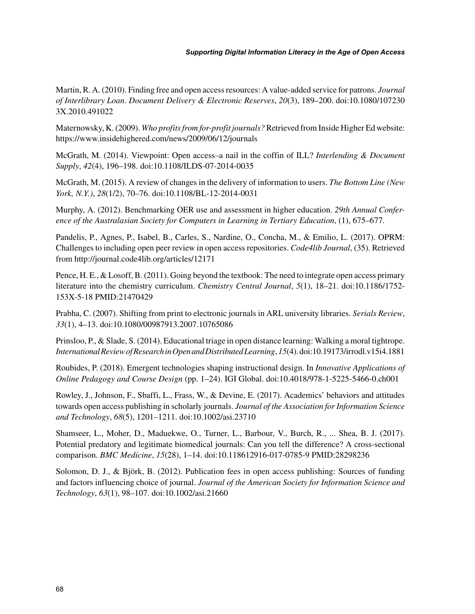Martin, R. A. (2010). Finding free and open access resources: A value-added service for patrons. *Journal of Interlibrary Loan*. *Document Delivery & Electronic Reserves*, *20*(3), 189–200. doi:10.1080/107230 3X.2010.491022

Maternowsky, K. (2009). *Who profits from for-profit journals?* Retrieved from Inside Higher Ed website: https://www.insidehighered.com/news/2009/06/12/journals

McGrath, M. (2014). Viewpoint: Open access–a nail in the coffin of ILL? *Interlending & Document Supply*, *42*(4), 196–198. doi:10.1108/ILDS-07-2014-0035

McGrath, M. (2015). A review of changes in the delivery of information to users. *The Bottom Line (New York, N.Y.)*, *28*(1/2), 70–76. doi:10.1108/BL-12-2014-0031

Murphy, A. (2012). Benchmarking OER use and assessment in higher education. *29th Annual Conference of the Australasian Society for Computers in Learning in Tertiary Education*, (1), 675–677.

Pandelis, P., Agnes, P., Isabel, B., Carles, S., Nardine, O., Concha, M., & Emilio, L. (2017). OPRM: Challenges to including open peer review in open access repositories. *Code4lib Journal*, (35). Retrieved from http://journal.code4lib.org/articles/12171

Pence, H. E., & Losoff, B. (2011). Going beyond the textbook: The need to integrate open access primary literature into the chemistry curriculum. *Chemistry Central Journal*, *5*(1), 18–21. doi:10.1186/1752- 153X-5-18 PMID:21470429

Prabha, C. (2007). Shifting from print to electronic journals in ARL university libraries. *Serials Review*, *33*(1), 4–13. doi:10.1080/00987913.2007.10765086

Prinsloo, P., & Slade, S. (2014). Educational triage in open distance learning: Walking a moral tightrope. *International Review of Research in Open and Distributed Learning*, *15*(4). doi:10.19173/irrodl.v15i4.1881

Roubides, P. (2018). Emergent technologies shaping instructional design. In *Innovative Applications of Online Pedagogy and Course Design* (pp. 1–24). IGI Global. doi:10.4018/978-1-5225-5466-0.ch001

Rowley, J., Johnson, F., Sbaffi, L., Frass, W., & Devine, E. (2017). Academics' behaviors and attitudes towards open access publishing in scholarly journals. *Journal of the Association for Information Science and Technology*, *68*(5), 1201–1211. doi:10.1002/asi.23710

Shamseer, L., Moher, D., Maduekwe, O., Turner, L., Barbour, V., Burch, R., ... Shea, B. J. (2017). Potential predatory and legitimate biomedical journals: Can you tell the difference? A cross-sectional comparison. *BMC Medicine*, *15*(28), 1–14. doi:10.118612916-017-0785-9 PMID:28298236

Solomon, D. J., & Björk, B. (2012). Publication fees in open access publishing: Sources of funding and factors influencing choice of journal. *Journal of the American Society for Information Science and Technology*, *63*(1), 98–107. doi:10.1002/asi.21660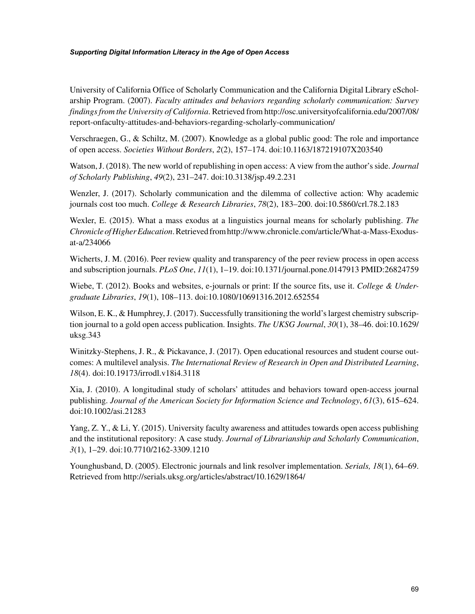University of California Office of Scholarly Communication and the California Digital Library eScholarship Program. (2007). *Faculty attitudes and behaviors regarding scholarly communication: Survey findings from the University of California*. Retrieved from http://osc.universityofcalifornia.edu/2007/08/ report-onfaculty-attitudes-and-behaviors-regarding-scholarly-communication/

Verschraegen, G., & Schiltz, M. (2007). Knowledge as a global public good: The role and importance of open access. *Societies Without Borders*, *2*(2), 157–174. doi:10.1163/187219107X203540

Watson, J. (2018). The new world of republishing in open access: A view from the author's side. *Journal of Scholarly Publishing*, *49*(2), 231–247. doi:10.3138/jsp.49.2.231

Wenzler, J. (2017). Scholarly communication and the dilemma of collective action: Why academic journals cost too much. *College & Research Libraries*, *78*(2), 183–200. doi:10.5860/crl.78.2.183

Wexler, E. (2015). What a mass exodus at a linguistics journal means for scholarly publishing. *The Chronicle of Higher Education*. Retrieved from http://www.chronicle.com/article/What-a-Mass-Exodusat-a/234066

Wicherts, J. M. (2016). Peer review quality and transparency of the peer review process in open access and subscription journals. *PLoS One*, *11*(1), 1–19. doi:10.1371/journal.pone.0147913 PMID:26824759

Wiebe, T. (2012). Books and websites, e-journals or print: If the source fits, use it. *College & Undergraduate Libraries*, *19*(1), 108–113. doi:10.1080/10691316.2012.652554

Wilson, E. K., & Humphrey, J. (2017). Successfully transitioning the world's largest chemistry subscription journal to a gold open access publication. Insights. *The UKSG Journal*, *30*(1), 38–46. doi:10.1629/ uksg.343

Winitzky-Stephens, J. R., & Pickavance, J. (2017). Open educational resources and student course outcomes: A multilevel analysis. *The International Review of Research in Open and Distributed Learning*, *18*(4). doi:10.19173/irrodl.v18i4.3118

Xia, J. (2010). A longitudinal study of scholars' attitudes and behaviors toward open-access journal publishing. *Journal of the American Society for Information Science and Technology*, *61*(3), 615–624. doi:10.1002/asi.21283

Yang, Z. Y., & Li, Y. (2015). University faculty awareness and attitudes towards open access publishing and the institutional repository: A case study. *Journal of Librarianship and Scholarly Communication*, *3*(1), 1–29. doi:10.7710/2162-3309.1210

Younghusband, D. (2005). Electronic journals and link resolver implementation. *Serials, 18*(1), 64–69. Retrieved from http://serials.uksg.org/articles/abstract/10.1629/1864/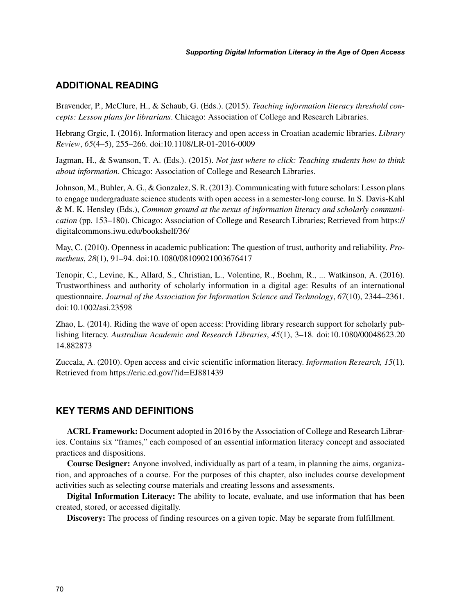# **ADDITIONAL READING**

Bravender, P., McClure, H., & Schaub, G. (Eds.). (2015). *Teaching information literacy threshold concepts: Lesson plans for librarians*. Chicago: Association of College and Research Libraries.

Hebrang Grgic, I. (2016). Information literacy and open access in Croatian academic libraries. *Library Review*, *65*(4–5), 255–266. doi:10.1108/LR-01-2016-0009

Jagman, H., & Swanson, T. A. (Eds.). (2015). *Not just where to click: Teaching students how to think about information*. Chicago: Association of College and Research Libraries.

Johnson, M., Buhler, A. G., & Gonzalez, S. R. (2013). Communicating with future scholars: Lesson plans to engage undergraduate science students with open access in a semester-long course. In S. Davis-Kahl & M. K. Hensley (Eds.), *Common ground at the nexus of information literacy and scholarly communication* (pp. 153–180). Chicago: Association of College and Research Libraries; Retrieved from https:// digitalcommons.iwu.edu/bookshelf/36/

May, C. (2010). Openness in academic publication: The question of trust, authority and reliability. *Prometheus*, *28*(1), 91–94. doi:10.1080/08109021003676417

Tenopir, C., Levine, K., Allard, S., Christian, L., Volentine, R., Boehm, R., ... Watkinson, A. (2016). Trustworthiness and authority of scholarly information in a digital age: Results of an international questionnaire. *Journal of the Association for Information Science and Technology*, *67*(10), 2344–2361. doi:10.1002/asi.23598

Zhao, L. (2014). Riding the wave of open access: Providing library research support for scholarly publishing literacy. *Australian Academic and Research Libraries*, *45*(1), 3–18. doi:10.1080/00048623.20 14.882873

Zuccala, A. (2010). Open access and civic scientific information literacy. *Information Research, 15*(1). Retrieved from https://eric.ed.gov/?id=EJ881439

# **KEY TERMS AND DEFINITIONS**

**ACRL Framework:** Document adopted in 2016 by the Association of College and Research Libraries. Contains six "frames," each composed of an essential information literacy concept and associated practices and dispositions.

**Course Designer:** Anyone involved, individually as part of a team, in planning the aims, organization, and approaches of a course. For the purposes of this chapter, also includes course development activities such as selecting course materials and creating lessons and assessments.

**Digital Information Literacy:** The ability to locate, evaluate, and use information that has been created, stored, or accessed digitally.

**Discovery:** The process of finding resources on a given topic. May be separate from fulfillment.